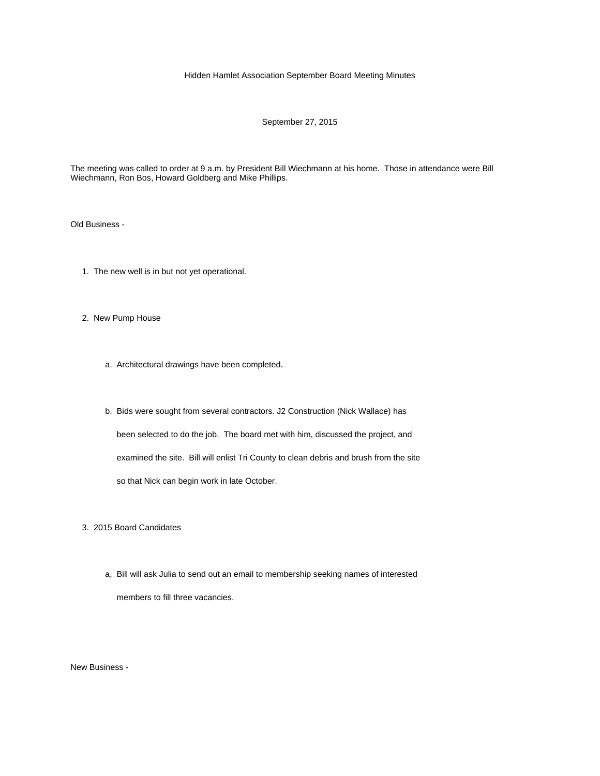## Hidden Hamlet Association September Board Meeting Minutes

## September 27, 2015

The meeting was called to order at 9 a.m. by President Bill Wiechmann at his home. Those in attendance were Bill Wiechmann, Ron Bos, Howard Goldberg and Mike Phillips.

Old Business -

- 1. The new well is in but not yet operational.
- 2. New Pump House
	- a. Architectural drawings have been completed.
	- b. Bids were sought from several contractors. J2 Construction (Nick Wallace) has been selected to do the job. The board met with him, discussed the project, and examined the site. Bill will enlist Tri County to clean debris and brush from the site so that Nick can begin work in late October.

3. 2015 Board Candidates

 a, Bill will ask Julia to send out an email to membership seeking names of interested members to fill three vacancies.

New Business -